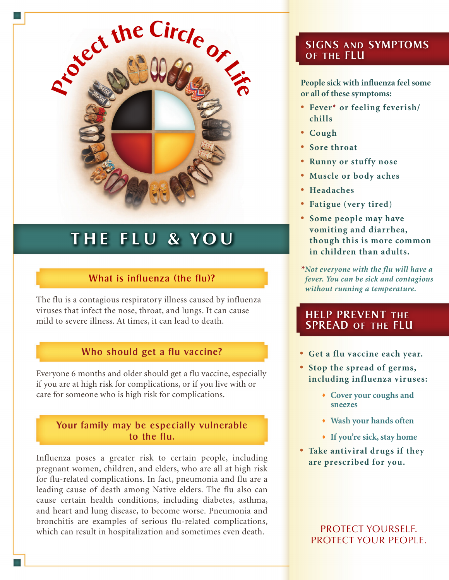

# **THE FLU & YOU**

# What is influenza (the flu)?

The flu is a contagious respiratory illness caused by influenza viruses that infect the nose, throat, and lungs. It can cause mild to severe illness. At times, it can lead to death.

## Who should get a flu vaccine?

Everyone 6 months and older should get a flu vaccine, especially if you are at high risk for complications, or if you live with or care for someone who is high risk for complications.

#### Your family may be especially vulnerable to the flu.

Influenza poses a greater risk to certain people, including pregnant women, children, and elders, who are all at high risk for flu-related complications. In fact, pneumonia and flu are a leading cause of death among Native elders. The flu also can cause certain health conditions, including diabetes, asthma, and heart and lung disease, to become worse. Pneumonia and bronchitis are examples of serious flu-related complications, which can result in hospitalization and sometimes even death.

## SIGNS and SYMPTOMS of the FLU

**People sick with influenza feel some or all of these symptoms:**

- • **Fever\* or feeling feverish/ chills**
- • **Cough**
- • **Sore throat**
- • **Runny or stuffy nose**
- • **Muscle or body aches**
- • **Headaches**
- • **Fatigue (very tired)**
- • **Some people may have vomiting and diarrhea, though this is more common in children than adults.**
- *\*Not everyone with the flu will have a fever. You can be sick and contagious without running a temperature.*

## HELP PREVENT the SPREAD of the FLU

- • **Get a flu vaccine each year.**
- • **Stop the spread of germs, including influenza viruses:**
	- **Cover your coughs and sneezes**
	- **Wash your hands often**
	- **If you're sick, stay home**
- • **Take antiv iral drugs if they are prescribed for you.**

PROTECT YOURSELF. PROTECT YOUR PEOPLE.